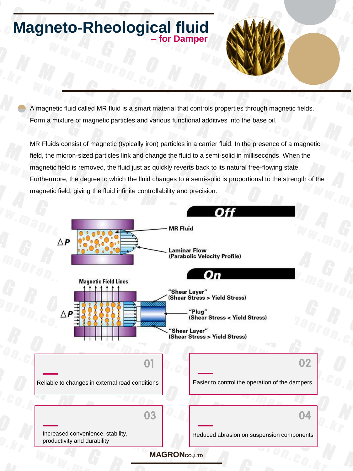## **Magneto-Rheological fluid – for Damper**

A magnetic fluid called MR fluid is a smart material that controls properties through magnetic fields. Form a mixture of magnetic particles and various functional additives into the base oil.

MR Fluids consist of magnetic (typically iron) particles in a carrier fluid. In the presence of a magnetic field, the micron-sized particles link and change the fluid to a semi-solid in milliseconds. When the magnetic field is removed, the fluid just as quickly reverts back to its natural free-flowing state. Furthermore, the degree to which the fluid changes to a semi-solid is proportional to the strength of the magnetic field, giving the fluid infinite controllability and precision.

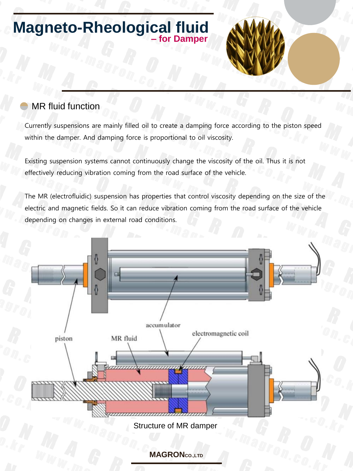## **Magneto-Rheological fluid – for Damper**

## MR fluid function

Currently suspensions are mainly filled oil to create a damping force according to the piston speed within the damper. And damping force is proportional to oil viscosity.

Existing suspension systems cannot continuously change the viscosity of the oil. Thus it is not effectively reducing vibration coming from the road surface of the vehicle.

The MR (electrofluidic) suspension has properties that control viscosity depending on the size of the electric and magnetic fields. So it can reduce vibration coming from the road surface of the vehicle depending on changes in external road conditions.

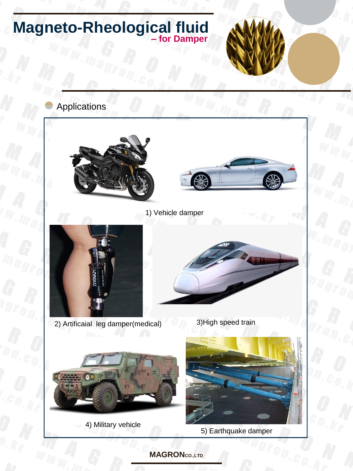

**MAGRONCO.,LTD**